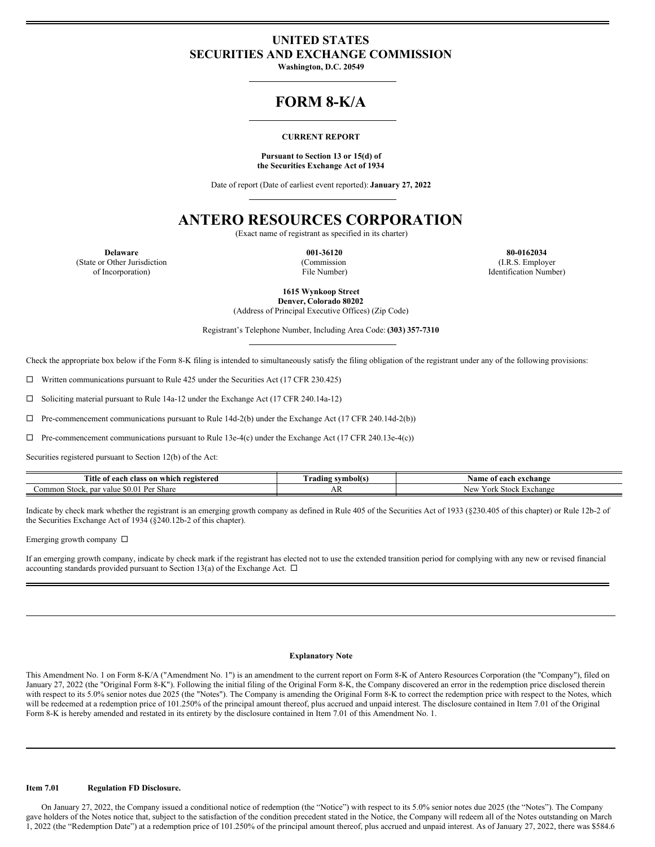## **UNITED STATES SECURITIES AND EXCHANGE COMMISSION**

**Washington, D.C. 20549**

# **FORM 8-K/A**

## **CURRENT REPORT**

#### **Pursuant to Section 13 or 15(d) of the Securities Exchange Act of 1934**

Date of report (Date of earliest event reported): **January 27, 2022**

## **ANTERO RESOURCES CORPORATION**

(Exact name of registrant as specified in its charter)

(State or Other Jurisdiction of Incorporation)

(Commission File Number)

**Delaware 001-36120 80-0162034** (I.R.S. Employer Identification Number)

**1615 Wynkoop Street**

**Denver, Colorado 80202** (Address of Principal Executive Offices) (Zip Code)

Registrant's Telephone Number, Including Area Code: **(303) 357-7310**

Check the appropriate box below if the Form 8-K filing is intended to simultaneously satisfy the filing obligation of the registrant under any of the following provisions:

 $\Box$  Written communications pursuant to Rule 425 under the Securities Act (17 CFR 230.425)

¨ Soliciting material pursuant to Rule 14a-12 under the Exchange Act (17 CFR 240.14a-12)

 $\Box$  Pre-commencement communications pursuant to Rule 14d-2(b) under the Exchange Act (17 CFR 240.14d-2(b))

 $\Box$  Pre-commencement communications pursuant to Rule 13e-4(c) under the Exchange Act (17 CFR 240.13e-4(c))

Securities registered pursuant to Section 12(b) of the Act:

| Title<br>f each class on which registered<br>: 01                 | symbol(s<br>. radıng | Name of each.<br>exchange ו       |
|-------------------------------------------------------------------|----------------------|-----------------------------------|
| $\mathbf{p}_{\alpha r}$<br>Share<br>.ommon<br>Stock, par<br>value | 71 V                 | New<br>r ort<br>⊵xchange<br>stock |

Indicate by check mark whether the registrant is an emerging growth company as defined in Rule 405 of the Securities Act of 1933 (§230.405 of this chapter) or Rule 12b-2 of the Securities Exchange Act of 1934 (§240.12b-2 of this chapter).

Emerging growth company  $\square$ 

If an emerging growth company, indicate by check mark if the registrant has elected not to use the extended transition period for complying with any new or revised financial accounting standards provided pursuant to Section 13(a) of the Exchange Act.  $\Box$ 

#### **Explanatory Note**

This Amendment No. 1 on Form 8-K/A ("Amendment No. 1") is an amendment to the current report on Form 8-K of Antero Resources Corporation (the "Company"), filed on January 27, 2022 (the "Original Form 8-K"). Following the initial filing of the Original Form 8-K, the Company discovered an error in the redemption price disclosed therein with respect to its 5.0% senior notes due 2025 (the "Notes"). The Company is amending the Original Form 8-K to correct the redemption price with respect to the Notes, which will be redeemed at a redemption price of 101.250% of the principal amount thereof, plus accrued and unpaid interest. The disclosure contained in Item 7.01 of the Original Form 8-K is hereby amended and restated in its entirety by the disclosure contained in Item 7.01 of this Amendment No. 1.

### **Item 7.01 Regulation FD Disclosure.**

On January 27, 2022, the Company issued a conditional notice of redemption (the "Notice") with respect to its 5.0% senior notes due 2025 (the "Notes"). The Company gave holders of the Notes notice that, subject to the satisfaction of the condition precedent stated in the Notice, the Company will redeem all of the Notes outstanding on March 1, 2022 (the "Redemption Date") at a redemption price of 101.250% of the principal amount thereof, plus accrued and unpaid interest. As of January 27, 2022, there was \$584.6